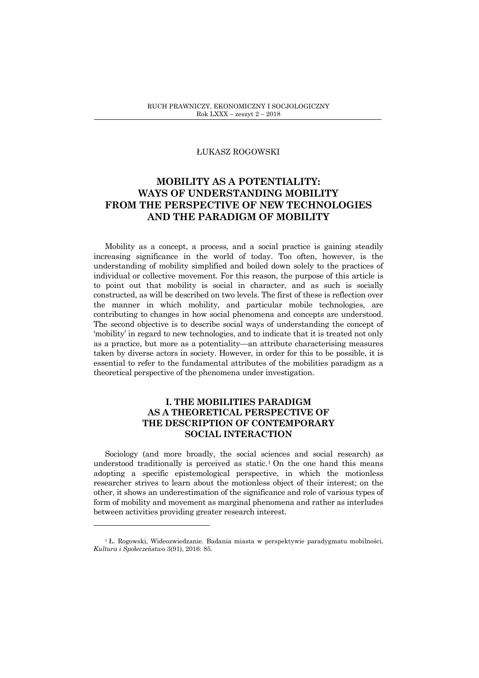#### ŁUKASZ ROGOWSKI

# **MOBILITY AS A POTENTIALITY: WAYS OF UNDERSTANDING MOBILITY FROM THE PERSPECTIVE OF NEW TECHNOLOGIES AND THE PARADIGM OF MOBILITY**

Mobility as a concept, a process, and a social practice is gaining steadily increasing significance in the world of today. Too often, however, is the understanding of mobility simplified and boiled down solely to the practices of individual or collective movement. For this reason, the purpose of this article is to point out that mobility is social in character, and as such is socially constructed, as will be described on two levels. The first of these is reflection over the manner in which mobility, and particular mobile technologies, are contributing to changes in how social phenomena and concepts are understood. The second objective is to describe social ways of understanding the concept of 'mobility' in regard to new technologies, and to indicate that it is treated not only as a practice, but more as a potentiality—an attribute characterising measures taken by diverse actors in society. However, in order for this to be possible, it is essential to refer to the fundamental attributes of the mobilities paradigm as a theoretical perspective of the phenomena under investigation.

## **I. THE MOBILITIES PARADIGM AS A THEORETICAL PERSPECTIVE OF THE DESCRIPTION OF CONTEMPORARY SOCIAL INTERACTION**

Sociology (and more broadly, the social sciences and social research) as understood traditionally is perceived as static.<sup>1</sup> On the one hand this means adopting a specific epistemological perspective, in which the motionless researcher strives to learn about the motionless object of their interest; on the other, it shows an underestimation of the significance and role of various types of form of mobility and movement as marginal phenomena and rather as interludes between activities providing greater research interest.

<sup>&</sup>lt;sup>1</sup> Ł. Rogowski, Wideozwiedzanie. Badania miasta w perspektywie paradygmatu mobilności, *Kultura i Spo*ł*ecze*ń*stwo* 3(91), 2016: 85.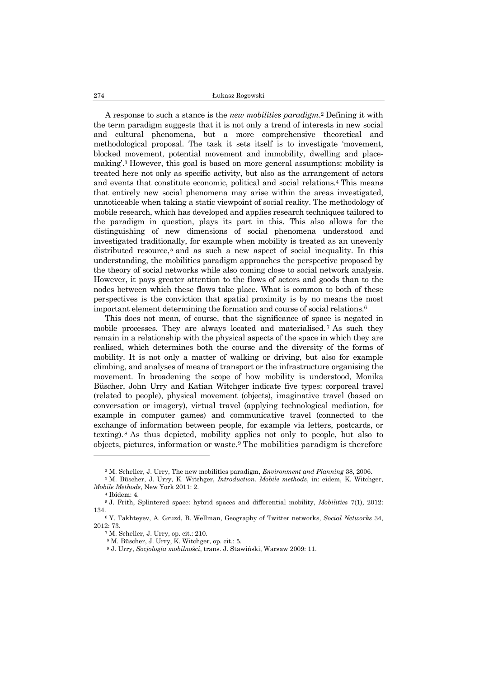A response to such a stance is the *new mobilities paradigm*. <sup>2</sup> Defining it with the term paradigm suggests that it is not only a trend of interests in new social and cultural phenomena, but a more comprehensive theoretical and methodological proposal. The task it sets itself is to investigate 'movement, blocked movement, potential movement and immobility, dwelling and placemaking'.<sup>3</sup> However, this goal is based on more general assumptions: mobility is treated here not only as specific activity, but also as the arrangement of actors and events that constitute economic, political and social relations.<sup>4</sup> This means that entirely new social phenomena may arise within the areas investigated, unnoticeable when taking a static viewpoint of social reality. The methodology of mobile research, which has developed and applies research techniques tailored to the paradigm in question, plays its part in this. This also allows for the distinguishing of new dimensions of social phenomena understood and investigated traditionally, for example when mobility is treated as an unevenly distributed resource,<sup>5</sup> and as such a new aspect of social inequality. In this understanding, the mobilities paradigm approaches the perspective proposed by the theory of social networks while also coming close to social network analysis. However, it pays greater attention to the flows of actors and goods than to the nodes between which these flows take place. What is common to both of these perspectives is the conviction that spatial proximity is by no means the most important element determining the formation and course of social relations.<sup>6</sup>

This does not mean, of course, that the significance of space is negated in mobile processes. They are always located and materialised.<sup>7</sup> As such they remain in a relationship with the physical aspects of the space in which they are realised, which determines both the course and the diversity of the forms of mobility. It is not only a matter of walking or driving, but also for example climbing, and analyses of means of transport or the infrastructure organising the movement. In broadening the scope of how mobility is understood, Monika Büscher, John Urry and Katian Witchger indicate five types: corporeal travel (related to people), physical movement (objects), imaginative travel (based on conversation or imagery), virtual travel (applying technological mediation, for example in computer games) and communicative travel (connected to the exchange of information between people, for example via letters, postcards, or texting). <sup>8</sup> As thus depicted, mobility applies not only to people, but also to objects, pictures, information or waste.<sup>9</sup> The mobilities paradigm is therefore

<sup>2</sup> M. Scheller, J. Urry, The new mobilities paradigm, *Environment and Planning* 38, 2006.

<sup>3</sup> M. Büscher, J. Urry, K. Witchger, *Introduction. Mobile methods*, in: eidem, K. Witchger, *Mobile Methods*, New York 2011: 2.

<sup>4</sup> Ibidem: 4.

<sup>5</sup> J. Frith, Splintered space: hybrid spaces and differential mobility, *Mobilities* 7(1), 2012: 134.

<sup>6</sup> Y. Takhteyev, A. Gruzd, B. Wellman, Geography of Twitter networks, *Social Networks* 34, 2012: 73.

<sup>7</sup> M. Scheller, J. Urry, op. cit.: 210.

<sup>8</sup> M. Büscher, J. Urry, K. Witchger, op. cit.: 5.

<sup>9</sup> J. Urry, *Socjologia mobilno*ś*ci*, trans. J. Stawiński, Warsaw 2009: 11.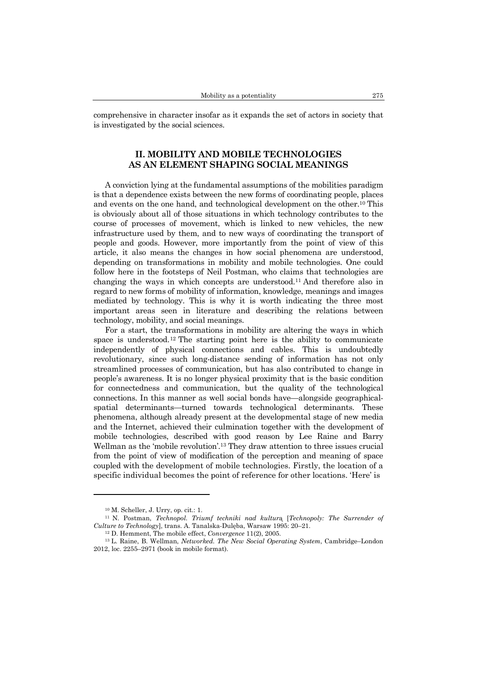comprehensive in character insofar as it expands the set of actors in society that is investigated by the social sciences.

## **II. MOBILITY AND MOBILE TECHNOLOGIES AS AN ELEMENT SHAPING SOCIAL MEANINGS**

A conviction lying at the fundamental assumptions of the mobilities paradigm is that a dependence exists between the new forms of coordinating people, places and events on the one hand, and technological development on the other.<sup>10</sup> This is obviously about all of those situations in which technology contributes to the course of processes of movement, which is linked to new vehicles, the new infrastructure used by them, and to new ways of coordinating the transport of people and goods. However, more importantly from the point of view of this article, it also means the changes in how social phenomena are understood, depending on transformations in mobility and mobile technologies. One could follow here in the footsteps of Neil Postman, who claims that technologies are changing the ways in which concepts are understood.<sup>11</sup> And therefore also in regard to new forms of mobility of information, knowledge, meanings and images mediated by technology. This is why it is worth indicating the three most important areas seen in literature and describing the relations between technology, mobility, and social meanings.

For a start, the transformations in mobility are altering the ways in which space is understood.<sup>12</sup> The starting point here is the ability to communicate independently of physical connections and cables. This is undoubtedly revolutionary, since such long-distance sending of information has not only streamlined processes of communication, but has also contributed to change in people's awareness. It is no longer physical proximity that is the basic condition for connectedness and communication, but the quality of the technological connections. In this manner as well social bonds have—alongside geographicalspatial determinants—turned towards technological determinants. These phenomena, although already present at the developmental stage of new media and the Internet, achieved their culmination together with the development of mobile technologies, described with good reason by Lee Raine and Barry Wellman as the 'mobile revolution'.<sup>13</sup> They draw attention to three issues crucial from the point of view of modification of the perception and meaning of space coupled with the development of mobile technologies. Firstly, the location of a specific individual becomes the point of reference for other locations. 'Here' is

<sup>10</sup> M. Scheller, J. Urry, op. cit.: 1.

<sup>11</sup> N. Postman, *Technopol. Triumf techniki nad kultur*ą [*Technopoly: The Surrender of Culture to Technology*], trans. A. Tanalska-Dulęba, Warsaw 1995: 20–21.

<sup>12</sup> D. Hemment, The mobile effect, *Convergence* 11(2), 2005.

<sup>13</sup> L. Raine, B. Wellman, *Networked. The New Social Operating System*, Cambridge–London 2012, loc. 2255–2971 (book in mobile format).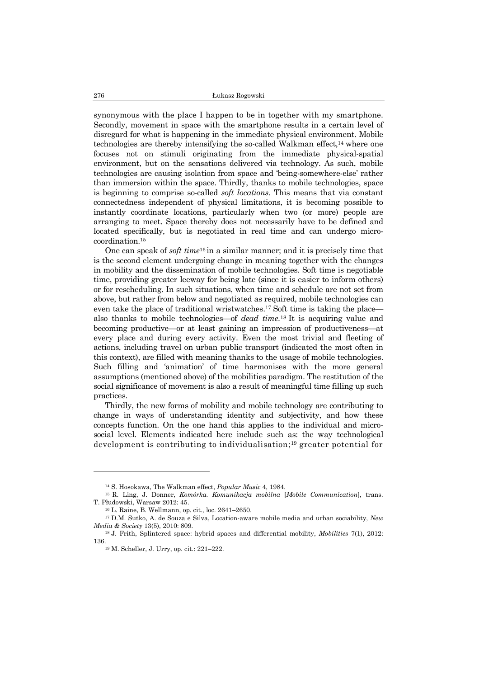synonymous with the place I happen to be in together with my smartphone. Secondly, movement in space with the smartphone results in a certain level of disregard for what is happening in the immediate physical environment. Mobile technologies are thereby intensifying the so-called Walkman effect,<sup>14</sup> where one focuses not on stimuli originating from the immediate physical-spatial environment, but on the sensations delivered via technology. As such, mobile technologies are causing isolation from space and 'being-somewhere-else' rather than immersion within the space. Thirdly, thanks to mobile technologies, space is beginning to comprise so-called *soft locations*. This means that via constant connectedness independent of physical limitations, it is becoming possible to instantly coordinate locations, particularly when two (or more) people are arranging to meet. Space thereby does not necessarily have to be defined and located specifically, but is negotiated in real time and can undergo microcoordination.<sup>15</sup>

One can speak of *soft time*<sup>16</sup> in a similar manner; and it is precisely time that is the second element undergoing change in meaning together with the changes in mobility and the dissemination of mobile technologies. Soft time is negotiable time, providing greater leeway for being late (since it is easier to inform others) or for rescheduling. In such situations, when time and schedule are not set from above, but rather from below and negotiated as required, mobile technologies can even take the place of traditional wristwatches.<sup>17</sup> Soft time is taking the place also thanks to mobile technologies—of *dead time*. <sup>18</sup> It is acquiring value and becoming productive—or at least gaining an impression of productiveness—at every place and during every activity. Even the most trivial and fleeting of actions, including travel on urban public transport (indicated the most often in this context), are filled with meaning thanks to the usage of mobile technologies. Such filling and 'animation' of time harmonises with the more general assumptions (mentioned above) of the mobilities paradigm. The restitution of the social significance of movement is also a result of meaningful time filling up such practices.

Thirdly, the new forms of mobility and mobile technology are contributing to change in ways of understanding identity and subjectivity, and how these concepts function. On the one hand this applies to the individual and microsocial level. Elements indicated here include such as: the way technological development is contributing to individualisation; <sup>19</sup> greater potential for

<sup>14</sup> S. Hosokawa, The Walkman effect, *Popular Music* 4, 1984.

<sup>15</sup> R. Ling, J. Donner, *Komórka. Komunikacja mobilna* [*Mobile Communication*], trans. T. Płudowski, Warsaw 2012: 45.

<sup>16</sup> L. Raine, B. Wellmann, op. cit., loc. 2641–2650.

<sup>17</sup> D.M. Sutko, A. de Souza e Silva, Location-aware mobile media and urban sociability, *New Media & Society* 13(5), 2010: 809.

<sup>18</sup> J. Frith, Splintered space: hybrid spaces and differential mobility, *Mobilities* 7(1), 2012: 136.

<sup>19</sup> M. Scheller, J. Urry, op. cit.: 221–222.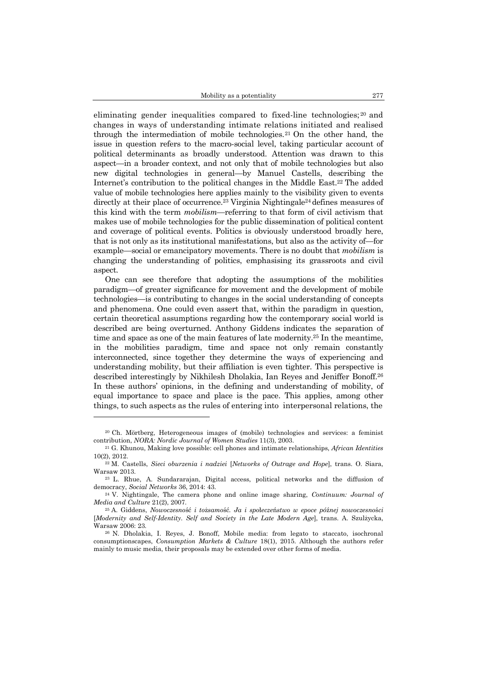eliminating gender inequalities compared to fixed-line technologies; <sup>20</sup> and changes in ways of understanding intimate relations initiated and realised through the intermediation of mobile technologies.<sup>21</sup> On the other hand, the issue in question refers to the macro-social level, taking particular account of political determinants as broadly understood. Attention was drawn to this aspect—in a broader context, and not only that of mobile technologies but also new digital technologies in general—by Manuel Castells, describing the Internet's contribution to the political changes in the Middle East.<sup>22</sup> The added value of mobile technologies here applies mainly to the visibility given to events directly at their place of occurrence.<sup>23</sup> Virginia Nightingale<sup>24</sup> defines measures of this kind with the term *mobilism*—referring to that form of civil activism that makes use of mobile technologies for the public dissemination of political content and coverage of political events. Politics is obviously understood broadly here, that is not only as its institutional manifestations, but also as the activity of—for example—social or emancipatory movements. There is no doubt that *mobilism* is changing the understanding of politics, emphasising its grassroots and civil aspect.

One can see therefore that adopting the assumptions of the mobilities paradigm—of greater significance for movement and the development of mobile technologies—is contributing to changes in the social understanding of concepts and phenomena. One could even assert that, within the paradigm in question, certain theoretical assumptions regarding how the contemporary social world is described are being overturned. Anthony Giddens indicates the separation of time and space as one of the main features of late modernity.<sup>25</sup> In the meantime, in the mobilities paradigm, time and space not only remain constantly interconnected, since together they determine the ways of experiencing and understanding mobility, but their affiliation is even tighter. This perspective is described interestingly by Nikhilesh Dholakia, Ian Reyes and Jeniffer Bonoff.<sup>26</sup> In these authors' opinions, in the defining and understanding of mobility, of equal importance to space and place is the pace. This applies, among other things, to such aspects as the rules of entering into interpersonal relations, the

<sup>20</sup> Ch. Mörtberg, Heterogeneous images of (mobile) technologies and services: a feminist contribution, *NORA: Nordic Journal of Women Studies* 11(3), 2003.

<sup>21</sup> G. Khunou, Making love possible: cell phones and intimate relationships, *African Identities* 10(2), 2012.

<sup>22</sup> M. Castells, *Sieci oburzenia i nadziei* [*Networks of Outrage and Hope*], trans. O. Siara, Warsaw 2013.

<sup>23</sup> L. Rhue, A. Sundararajan, Digital access, political networks and the diffusion of democracy, *Social Networks* 36, 2014: 43.

<sup>24</sup> V. Nightingale, The camera phone and online image sharing, *Continuum: Journal of Media and Culture* 21(2), 2007.

<sup>25</sup> A. Giddens, *Nowoczesno*ść *i to*ż*samo*ść*. Ja i spo*ł*ecze*ń*stwo w epoce pó*ź*nej nowoczesno*ś*ci* [*Modernity and Self-Identity. Self and Society in the Late Modern Age*], trans. A. Szulżycka, Warsaw 2006: 23.

<sup>26</sup> N. Dholakia, I. Reyes, J. Bonoff, Mobile media: from legato to staccato, isochronal consumptionscapes, *Consumption Markets & Culture* 18(1), 2015. Although the authors refer mainly to music media, their proposals may be extended over other forms of media.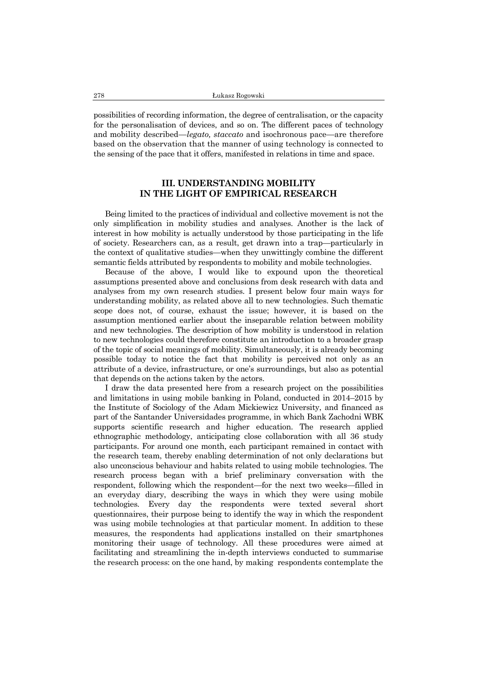possibilities of recording information, the degree of centralisation, or the capacity for the personalisation of devices, and so on. The different paces of technology and mobility described—*legato, staccato* and isochronous pace—are therefore based on the observation that the manner of using technology is connected to the sensing of the pace that it offers, manifested in relations in time and space.

## **III. UNDERSTANDING MOBILITY IN THE LIGHT OF EMPIRICAL RESEARCH**

Being limited to the practices of individual and collective movement is not the only simplification in mobility studies and analyses. Another is the lack of interest in how mobility is actually understood by those participating in the life of society. Researchers can, as a result, get drawn into a trap—particularly in the context of qualitative studies—when they unwittingly combine the different semantic fields attributed by respondents to mobility and mobile technologies.

Because of the above, I would like to expound upon the theoretical assumptions presented above and conclusions from desk research with data and analyses from my own research studies. I present below four main ways for understanding mobility, as related above all to new technologies. Such thematic scope does not, of course, exhaust the issue; however, it is based on the assumption mentioned earlier about the inseparable relation between mobility and new technologies. The description of how mobility is understood in relation to new technologies could therefore constitute an introduction to a broader grasp of the topic of social meanings of mobility. Simultaneously, it is already becoming possible today to notice the fact that mobility is perceived not only as an attribute of a device, infrastructure, or one's surroundings, but also as potential that depends on the actions taken by the actors.

I draw the data presented here from a research project on the possibilities and limitations in using mobile banking in Poland, conducted in 2014–2015 by the Institute of Sociology of the Adam Mickiewicz University, and financed as part of the Santander Universidades programme, in which Bank Zachodni WBK supports scientific research and higher education. The research applied ethnographic methodology, anticipating close collaboration with all 36 study participants. For around one month, each participant remained in contact with the research team, thereby enabling determination of not only declarations but also unconscious behaviour and habits related to using mobile technologies. The research process began with a brief preliminary conversation with the respondent, following which the respondent—for the next two weeks—filled in an everyday diary, describing the ways in which they were using mobile technologies. Every day the respondents were texted several short questionnaires, their purpose being to identify the way in which the respondent was using mobile technologies at that particular moment. In addition to these measures, the respondents had applications installed on their smartphones monitoring their usage of technology. All these procedures were aimed at facilitating and streamlining the in-depth interviews conducted to summarise the research process: on the one hand, by making respondents contemplate the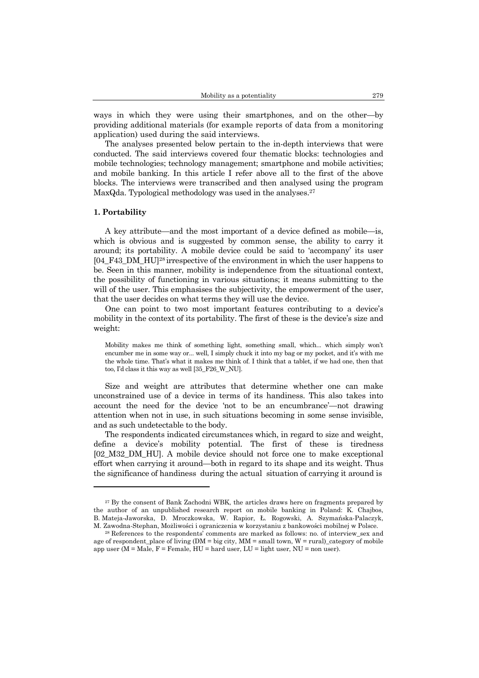ways in which they were using their smartphones, and on the other—by providing additional materials (for example reports of data from a monitoring application) used during the said interviews.

The analyses presented below pertain to the in-depth interviews that were conducted. The said interviews covered four thematic blocks: technologies and mobile technologies; technology management; smartphone and mobile activities; and mobile banking. In this article I refer above all to the first of the above blocks. The interviews were transcribed and then analysed using the program MaxQda. Typological methodology was used in the analyses.<sup>27</sup>

#### **1. Portability**

 $\overline{\phantom{a}}$ 

A key attribute—and the most important of a device defined as mobile—is, which is obvious and is suggested by common sense, the ability to carry it around; its portability. A mobile device could be said to 'accompany' its user [04\_F43\_DM\_HU]<sup>28</sup> irrespective of the environment in which the user happens to be. Seen in this manner, mobility is independence from the situational context, the possibility of functioning in various situations; it means submitting to the will of the user. This emphasises the subjectivity, the empowerment of the user, that the user decides on what terms they will use the device.

One can point to two most important features contributing to a device's mobility in the context of its portability. The first of these is the device's size and weight:

Mobility makes me think of something light, something small, which... which simply won't encumber me in some way or... well, I simply chuck it into my bag or my pocket, and it's with me the whole time. That's what it makes me think of. I think that a tablet, if we had one, then that too, I'd class it this way as well [35\_F26\_W\_NU].

Size and weight are attributes that determine whether one can make unconstrained use of a device in terms of its handiness. This also takes into account the need for the device 'not to be an encumbrance'—not drawing attention when not in use, in such situations becoming in some sense invisible, and as such undetectable to the body.

The respondents indicated circumstances which, in regard to size and weight, define a device's mobility potential. The first of these is tiredness [02\_M32\_DM\_HU]. A mobile device should not force one to make exceptional effort when carrying it around—both in regard to its shape and its weight. Thus the significance of handiness during the actual situation of carrying it around is

<sup>&</sup>lt;sup>27</sup> By the consent of Bank Zachodni WBK, the articles draws here on fragments prepared by the author of an unpublished research report on mobile banking in Poland: K. Chajbos, B. Mateja-Jaworska, D. Mroczkowska, W. Rapior, Ł. Rogowski, A. Szymańska-Palaczyk, M. Zawodna-Stephan, Możliwości i ograniczenia w korzystaniu z bankowości mobilnej w Polsce.

<sup>28</sup> References to the respondents' comments are marked as follows: no. of interview\_sex and age of respondent\_place of living  $(DM = big city, MM = small town, W = rural)$ \_category of mobile app user ( $M = Male$ ,  $F = Female$ ,  $HU = hard$  user,  $LU = light$  user,  $NU = non$  user).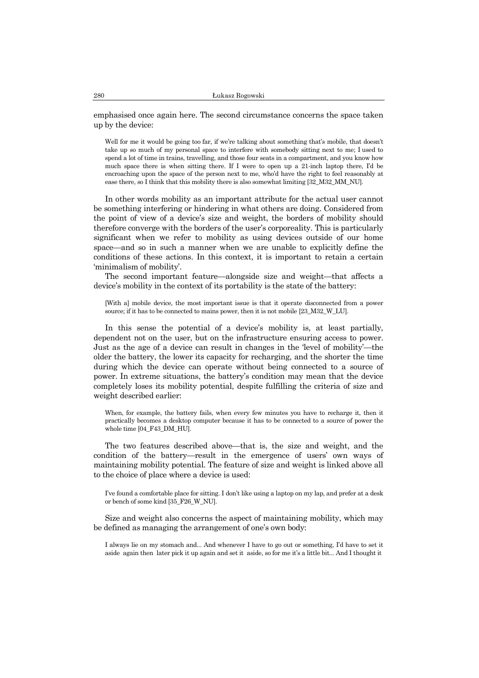emphasised once again here. The second circumstance concerns the space taken up by the device:

Well for me it would be going too far, if we're talking about something that's mobile, that doesn't take up so much of my personal space to interfere with somebody sitting next to me; I used to spend a lot of time in trains, travelling, and those four seats in a compartment, and you know how much space there is when sitting there. If I were to open up a 21-inch laptop there, I'd be encroaching upon the space of the person next to me, who'd have the right to feel reasonably at ease there, so I think that this mobility there is also somewhat limiting [32\_M32\_MM\_NU].

In other words mobility as an important attribute for the actual user cannot be something interfering or hindering in what others are doing. Considered from the point of view of a device's size and weight, the borders of mobility should therefore converge with the borders of the user's corporeality. This is particularly significant when we refer to mobility as using devices outside of our home space—and so in such a manner when we are unable to explicitly define the conditions of these actions. In this context, it is important to retain a certain 'minimalism of mobility'.

The second important feature—alongside size and weight—that affects a device's mobility in the context of its portability is the state of the battery:

[With a] mobile device, the most important issue is that it operate disconnected from a power source; if it has to be connected to mains power, then it is not mobile [23\_M32\_W\_LU].

In this sense the potential of a device's mobility is, at least partially, dependent not on the user, but on the infrastructure ensuring access to power. Just as the age of a device can result in changes in the 'level of mobility'—the older the battery, the lower its capacity for recharging, and the shorter the time during which the device can operate without being connected to a source of power. In extreme situations, the battery's condition may mean that the device completely loses its mobility potential, despite fulfilling the criteria of size and weight described earlier:

When, for example, the battery fails, when every few minutes you have to recharge it, then it practically becomes a desktop computer because it has to be connected to a source of power the whole time [04\_F43\_DM\_HU].

The two features described above—that is, the size and weight, and the condition of the battery—result in the emergence of users' own ways of maintaining mobility potential. The feature of size and weight is linked above all to the choice of place where a device is used:

I've found a comfortable place for sitting. I don't like using a laptop on my lap, and prefer at a desk or bench of some kind [35\_F26\_W\_NU].

Size and weight also concerns the aspect of maintaining mobility, which may be defined as managing the arrangement of one's own body:

I always lie on my stomach and... And whenever I have to go out or something, I'd have to set it aside again then later pick it up again and set it aside, so for me it's a little bit... And I thought it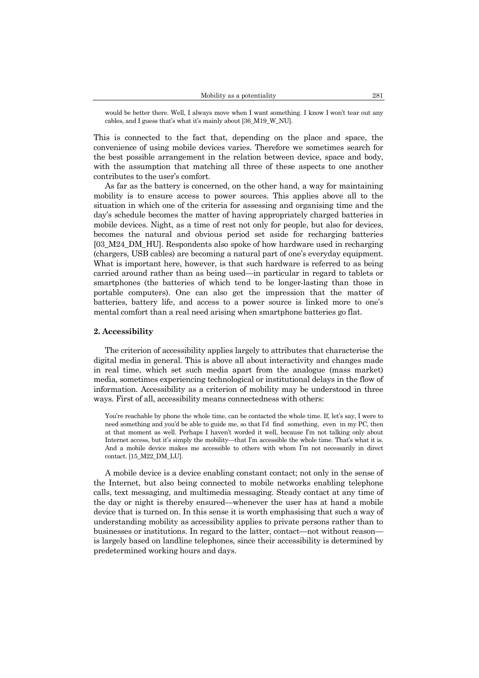would be better there. Well, I always move when I want something. I know I won't tear out any cables, and I guess that's what it's mainly about [36\_M19\_W\_NU].

This is connected to the fact that, depending on the place and space, the convenience of using mobile devices varies. Therefore we sometimes search for the best possible arrangement in the relation between device, space and body, with the assumption that matching all three of these aspects to one another contributes to the user's comfort.

As far as the battery is concerned, on the other hand, a way for maintaining mobility is to ensure access to power sources. This applies above all to the situation in which one of the criteria for assessing and organising time and the day's schedule becomes the matter of having appropriately charged batteries in mobile devices. Night, as a time of rest not only for people, but also for devices, becomes the natural and obvious period set aside for recharging batteries [03\_M24\_DM\_HU]. Respondents also spoke of how hardware used in recharging (chargers, USB cables) are becoming a natural part of one's everyday equipment. What is important here, however, is that such hardware is referred to as being carried around rather than as being used—in particular in regard to tablets or smartphones (the batteries of which tend to be longer-lasting than those in portable computers). One can also get the impression that the matter of batteries, battery life, and access to a power source is linked more to one's mental comfort than a real need arising when smartphone batteries go flat.

#### **2. Accessibility**

The criterion of accessibility applies largely to attributes that characterise the digital media in general. This is above all about interactivity and changes made in real time, which set such media apart from the analogue (mass market) media, sometimes experiencing technological or institutional delays in the flow of information. Accessibility as a criterion of mobility may be understood in three ways. First of all, accessibility means connectedness with others:

You're reachable by phone the whole time, can be contacted the whole time. If, let's say, I were to need something and you'd be able to guide me, so that I'd find something, even in my PC, then at that moment as well. Perhaps I haven't worded it well, because I'm not talking only about Internet access, but it's simply the mobility—that I'm accessible the whole time. That's what it is. And a mobile device makes me accessible to others with whom I'm not necessarily in direct contact. [15\_M22\_DM\_LU].

A mobile device is a device enabling constant contact; not only in the sense of the Internet, but also being connected to mobile networks enabling telephone calls, text messaging, and multimedia messaging. Steady contact at any time of the day or night is thereby ensured—whenever the user has at hand a mobile device that is turned on. In this sense it is worth emphasising that such a way of understanding mobility as accessibility applies to private persons rather than to businesses or institutions. In regard to the latter, contact—not without reason is largely based on landline telephones, since their accessibility is determined by predetermined working hours and days.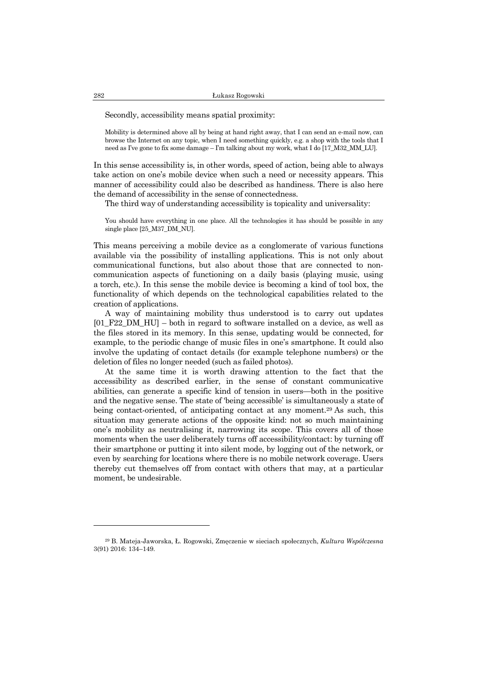Secondly, accessibility means spatial proximity:

Mobility is determined above all by being at hand right away, that I can send an e-mail now, can browse the Internet on any topic, when I need something quickly, e.g. a shop with the tools that I need as I've gone to fix some damage – I'm talking about my work, what I do [17\_M32\_MM\_LU].

In this sense accessibility is, in other words, speed of action, being able to always take action on one's mobile device when such a need or necessity appears. This manner of accessibility could also be described as handiness. There is also here the demand of accessibility in the sense of connectedness.

The third way of understanding accessibility is topicality and universality:

You should have everything in one place. All the technologies it has should be possible in any single place [25\_M37\_DM\_NU].

This means perceiving a mobile device as a conglomerate of various functions available via the possibility of installing applications. This is not only about communicational functions, but also about those that are connected to noncommunication aspects of functioning on a daily basis (playing music, using a torch, etc.). In this sense the mobile device is becoming a kind of tool box, the functionality of which depends on the technological capabilities related to the creation of applications.

A way of maintaining mobility thus understood is to carry out updates [01\_F22\_DM\_HU] – both in regard to software installed on a device, as well as the files stored in its memory. In this sense, updating would be connected, for example, to the periodic change of music files in one's smartphone. It could also involve the updating of contact details (for example telephone numbers) or the deletion of files no longer needed (such as failed photos).

At the same time it is worth drawing attention to the fact that the accessibility as described earlier, in the sense of constant communicative abilities, can generate a specific kind of tension in users—both in the positive and the negative sense. The state of 'being accessible' is simultaneously a state of being contact-oriented, of anticipating contact at any moment.<sup>29</sup> As such, this situation may generate actions of the opposite kind: not so much maintaining one's mobility as neutralising it, narrowing its scope. This covers all of those moments when the user deliberately turns off accessibility/contact: by turning off their smartphone or putting it into silent mode, by logging out of the network, or even by searching for locations where there is no mobile network coverage. Users thereby cut themselves off from contact with others that may, at a particular moment, be undesirable.

<sup>29</sup> B. Mateja-Jaworska, Ł. Rogowski, Zmęczenie w sieciach społecznych, *Kultura Współczesna* 3(91) 2016: 134–149.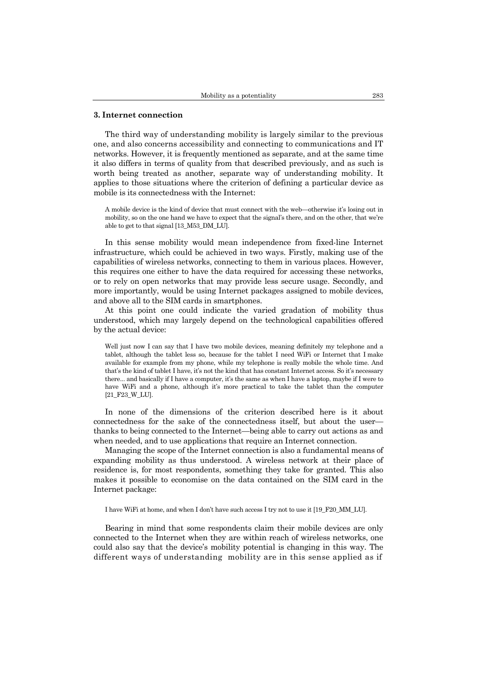#### **3. Internet connection**

The third way of understanding mobility is largely similar to the previous one, and also concerns accessibility and connecting to communications and IT networks. However, it is frequently mentioned as separate, and at the same time it also differs in terms of quality from that described previously, and as such is worth being treated as another, separate way of understanding mobility. It applies to those situations where the criterion of defining a particular device as mobile is its connectedness with the Internet:

A mobile device is the kind of device that must connect with the web—otherwise it's losing out in mobility, so on the one hand we have to expect that the signal's there, and on the other, that we're able to get to that signal [13\_M53\_DM\_LU].

In this sense mobility would mean independence from fixed-line Internet infrastructure, which could be achieved in two ways. Firstly, making use of the capabilities of wireless networks, connecting to them in various places. However, this requires one either to have the data required for accessing these networks, or to rely on open networks that may provide less secure usage. Secondly, and more importantly, would be using Internet packages assigned to mobile devices, and above all to the SIM cards in smartphones.

At this point one could indicate the varied gradation of mobility thus understood, which may largely depend on the technological capabilities offered by the actual device:

Well just now I can say that I have two mobile devices, meaning definitely my telephone and a tablet, although the tablet less so, because for the tablet I need WiFi or Internet that I make available for example from my phone, while my telephone is really mobile the whole time. And that's the kind of tablet I have, it's not the kind that has constant Internet access. So it's necessary there... and basically if I have a computer, it's the same as when I have a laptop, maybe if I were to have WiFi and a phone, although it's more practical to take the tablet than the computer [21\_F23\_W\_LU].

In none of the dimensions of the criterion described here is it about connectedness for the sake of the connectedness itself, but about the user thanks to being connected to the Internet—being able to carry out actions as and when needed, and to use applications that require an Internet connection.

Managing the scope of the Internet connection is also a fundamental means of expanding mobility as thus understood. A wireless network at their place of residence is, for most respondents, something they take for granted. This also makes it possible to economise on the data contained on the SIM card in the Internet package:

I have WiFi at home, and when I don't have such access I try not to use it [19\_F20\_MM\_LU].

Bearing in mind that some respondents claim their mobile devices are only connected to the Internet when they are within reach of wireless networks, one could also say that the device's mobility potential is changing in this way. The different ways of understanding mobility are in this sense applied as if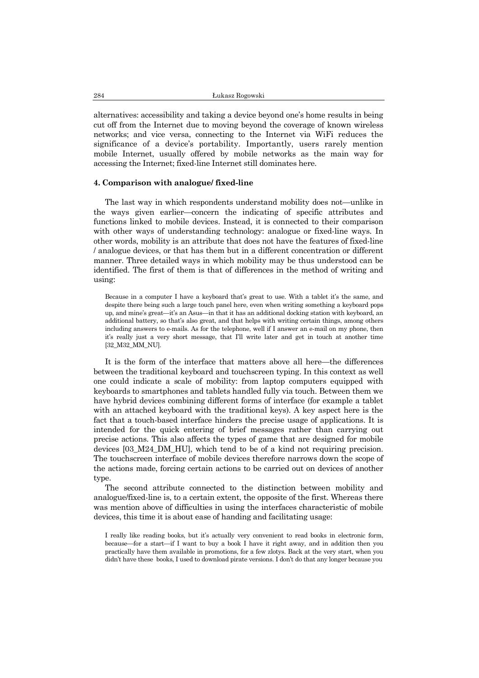alternatives: accessibility and taking a device beyond one's home results in being cut off from the Internet due to moving beyond the coverage of known wireless networks; and vice versa, connecting to the Internet via WiFi reduces the significance of a device's portability. Importantly, users rarely mention mobile Internet, usually offered by mobile networks as the main way for accessing the Internet; fixed-line Internet still dominates here.

#### **4. Comparison with analogue/ fixed-line**

The last way in which respondents understand mobility does not—unlike in the ways given earlier—concern the indicating of specific attributes and functions linked to mobile devices. Instead, it is connected to their comparison with other ways of understanding technology: analogue or fixed-line ways. In other words, mobility is an attribute that does not have the features of fixed-line / analogue devices, or that has them but in a different concentration or different manner. Three detailed ways in which mobility may be thus understood can be identified. The first of them is that of differences in the method of writing and using:

Because in a computer I have a keyboard that's great to use. With a tablet it's the same, and despite there being such a large touch panel here, even when writing something a keyboard pops up, and mine's great—it's an Asus—in that it has an additional docking station with keyboard, an additional battery, so that's also great, and that helps with writing certain things, among others including answers to e-mails. As for the telephone, well if I answer an e-mail on my phone, then it's really just a very short message, that I'll write later and get in touch at another time [32\_M32\_MM\_NU].

It is the form of the interface that matters above all here—the differences between the traditional keyboard and touchscreen typing. In this context as well one could indicate a scale of mobility: from laptop computers equipped with keyboards to smartphones and tablets handled fully via touch. Between them we have hybrid devices combining different forms of interface (for example a tablet with an attached keyboard with the traditional keys). A key aspect here is the fact that a touch-based interface hinders the precise usage of applications. It is intended for the quick entering of brief messages rather than carrying out precise actions. This also affects the types of game that are designed for mobile devices [03\_M24\_DM\_HU], which tend to be of a kind not requiring precision. The touchscreen interface of mobile devices therefore narrows down the scope of the actions made, forcing certain actions to be carried out on devices of another type.

The second attribute connected to the distinction between mobility and analogue/fixed-line is, to a certain extent, the opposite of the first. Whereas there was mention above of difficulties in using the interfaces characteristic of mobile devices, this time it is about ease of handing and facilitating usage:

I really like reading books, but it's actually very convenient to read books in electronic form, because—for a start—if I want to buy a book I have it right away, and in addition then you practically have them available in promotions, for a few zlotys. Back at the very start, when you didn't have these books, I used to download pirate versions. I don't do that any longer because you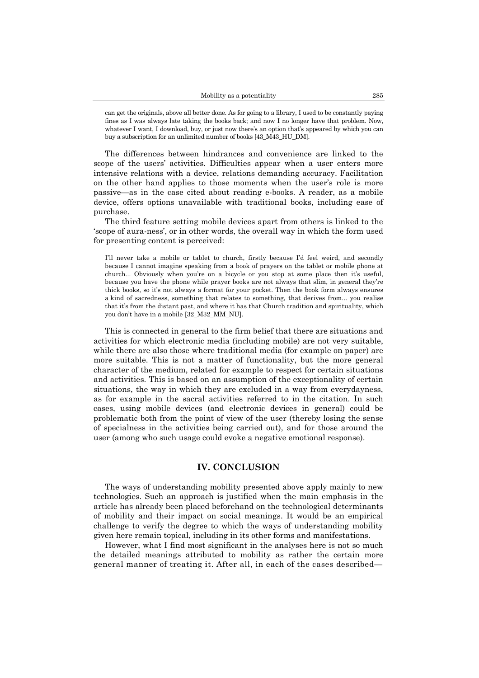can get the originals, above all better done. As for going to a library, I used to be constantly paying fines as I was always late taking the books back; and now I no longer have that problem. Now, whatever I want, I download, buy, or just now there's an option that's appeared by which you can buy a subscription for an unlimited number of books [43\_M43\_HU\_DM].

The differences between hindrances and convenience are linked to the scope of the users' activities. Difficulties appear when a user enters more intensive relations with a device, relations demanding accuracy. Facilitation on the other hand applies to those moments when the user's role is more passive—as in the case cited about reading e-books. A reader, as a mobile device, offers options unavailable with traditional books, including ease of purchase.

The third feature setting mobile devices apart from others is linked to the 'scope of aura-ness', or in other words, the overall way in which the form used for presenting content is perceived:

I'll never take a mobile or tablet to church, firstly because I'd feel weird, and secondly because I cannot imagine speaking from a book of prayers on the tablet or mobile phone at church... Obviously when you're on a bicycle or you stop at some place then it's useful, because you have the phone while prayer books are not always that slim, in general they're thick books, so it's not always a format for your pocket. Then the book form always ensures a kind of sacredness, something that relates to something, that derives from... you realise that it's from the distant past, and where it has that Church tradition and spirituality, which you don't have in a mobile [32\_M32\_MM\_NU].

This is connected in general to the firm belief that there are situations and activities for which electronic media (including mobile) are not very suitable, while there are also those where traditional media (for example on paper) are more suitable. This is not a matter of functionality, but the more general character of the medium, related for example to respect for certain situations and activities. This is based on an assumption of the exceptionality of certain situations, the way in which they are excluded in a way from everydayness, as for example in the sacral activities referred to in the citation. In such cases, using mobile devices (and electronic devices in general) could be problematic both from the point of view of the user (thereby losing the sense of specialness in the activities being carried out), and for those around the user (among who such usage could evoke a negative emotional response).

## **IV. CONCLUSION**

The ways of understanding mobility presented above apply mainly to new technologies. Such an approach is justified when the main emphasis in the article has already been placed beforehand on the technological determinants of mobility and their impact on social meanings. It would be an empirical challenge to verify the degree to which the ways of understanding mobility given here remain topical, including in its other forms and manifestations.

However, what I find most significant in the analyses here is not so much the detailed meanings attributed to mobility as rather the certain more general manner of treating it. After all, in each of the cases described